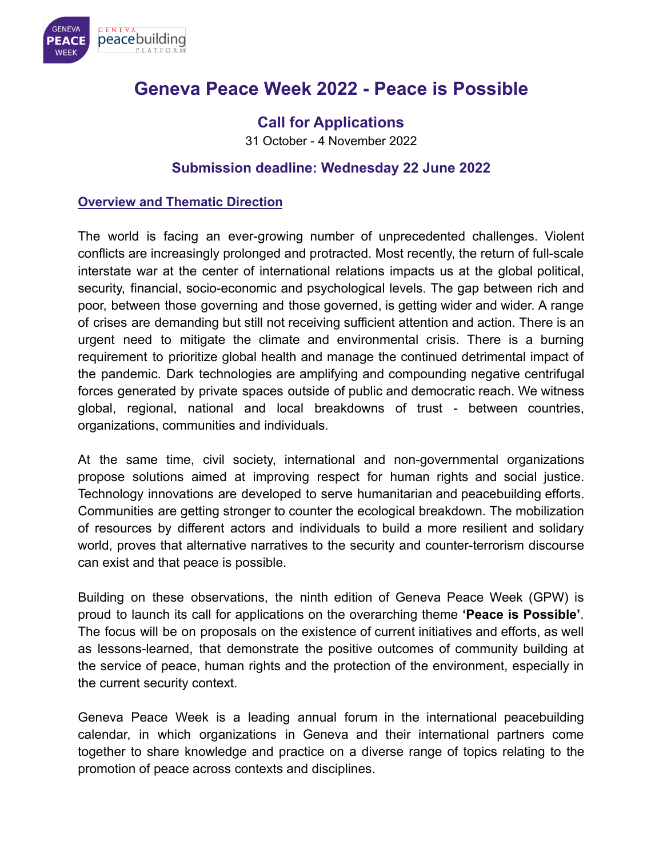

# **Geneva Peace Week 2022 - Peace is Possible**

## **Call for Applications**

31 October - 4 November 2022

## **Submission deadline: Wednesday 22 June 2022**

#### **Overview and Thematic Direction**

The world is facing an ever-growing number of unprecedented challenges. Violent conflicts are increasingly prolonged and protracted. Most recently, the return of full-scale interstate war at the center of international relations impacts us at the global political, security, financial, socio-economic and psychological levels. The gap between rich and poor, between those governing and those governed, is getting wider and wider. A range of crises are demanding but still not receiving sufficient attention and action. There is an urgent need to mitigate the climate and environmental crisis. There is a burning requirement to prioritize global health and manage the continued detrimental impact of the pandemic. Dark technologies are amplifying and compounding negative centrifugal forces generated by private spaces outside of public and democratic reach. We witness global, regional, national and local breakdowns of trust - between countries, organizations, communities and individuals.

At the same time, civil society, international and non-governmental organizations propose solutions aimed at improving respect for human rights and social justice. Technology innovations are developed to serve humanitarian and peacebuilding efforts. Communities are getting stronger to counter the ecological breakdown. The mobilization of resources by different actors and individuals to build a more resilient and solidary world, proves that alternative narratives to the security and counter-terrorism discourse can exist and that peace is possible.

Building on these observations, the ninth edition of Geneva Peace Week (GPW) is proud to launch its call for applications on the overarching theme **'Peace is Possible'**. The focus will be on proposals on the existence of current initiatives and efforts, as well as lessons-learned, that demonstrate the positive outcomes of community building at the service of peace, human rights and the protection of the environment, especially in the current security context.

Geneva Peace Week is a leading annual forum in the international peacebuilding calendar, in which organizations in Geneva and their international partners come together to share knowledge and practice on a diverse range of topics relating to the promotion of peace across contexts and disciplines.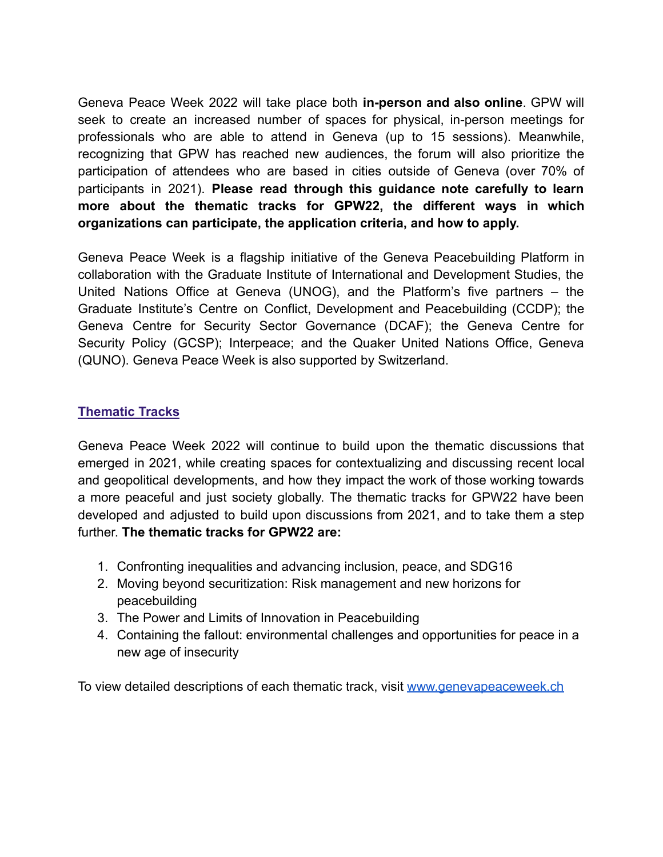Geneva Peace Week 2022 will take place both **in-person and also online**. GPW will seek to create an increased number of spaces for physical, in-person meetings for professionals who are able to attend in Geneva (up to 15 sessions). Meanwhile, recognizing that GPW has reached new audiences, the forum will also prioritize the participation of attendees who are based in cities outside of Geneva (over 70% of participants in 2021). **Please read through this guidance note carefully to learn more about the thematic tracks for GPW22, the different ways in which organizations can participate, the application criteria, and how to apply.**

Geneva Peace Week is a flagship initiative of the Geneva Peacebuilding Platform in collaboration with the Graduate Institute of International and Development Studies, the United Nations Office at Geneva (UNOG), and the Platform's five partners – the Graduate Institute's Centre on Conflict, Development and Peacebuilding (CCDP); the Geneva Centre for Security Sector Governance (DCAF); the Geneva Centre for Security Policy (GCSP); Interpeace; and the Quaker United Nations Office, Geneva (QUNO). Geneva Peace Week is also supported by Switzerland.

#### **Thematic Tracks**

Geneva Peace Week 2022 will continue to build upon the thematic discussions that emerged in 2021, while creating spaces for contextualizing and discussing recent local and geopolitical developments, and how they impact the work of those working towards a more peaceful and just society globally. The thematic tracks for GPW22 have been developed and adjusted to build upon discussions from 2021, and to take them a step further. **The thematic tracks for GPW22 are:**

- 1. Confronting inequalities and advancing inclusion, peace, and SDG16
- 2. Moving beyond securitization: Risk management and new horizons for peacebuilding
- 3. The Power and Limits of Innovation in Peacebuilding
- 4. Containing the fallout: environmental challenges and opportunities for peace in a new age of insecurity

To view detailed descriptions of each thematic track, visit [www.genevapeaceweek.ch](http://www.genevapeaceweek.ch)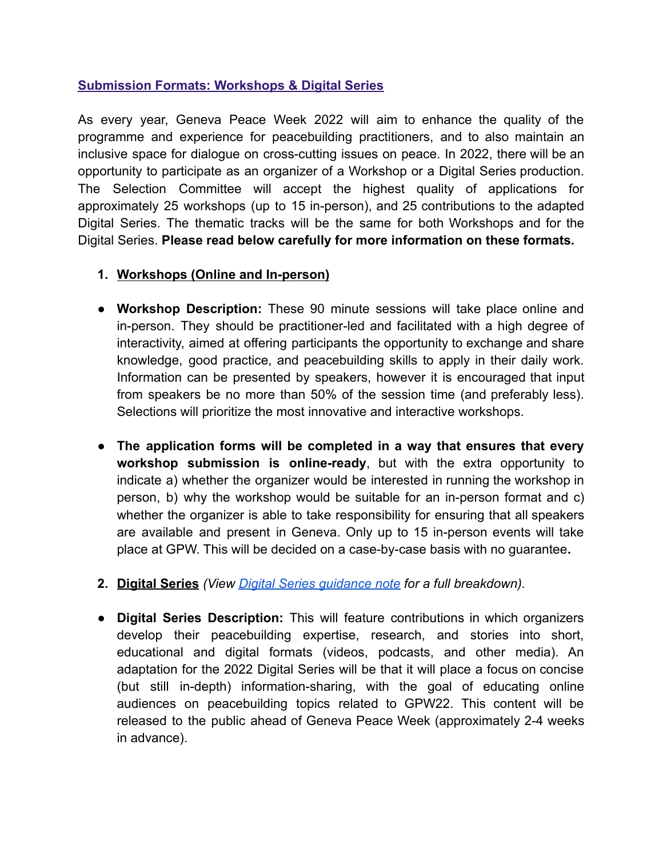#### **Submission Formats: Workshops & Digital Series**

As every year, Geneva Peace Week 2022 will aim to enhance the quality of the programme and experience for peacebuilding practitioners, and to also maintain an inclusive space for dialogue on cross-cutting issues on peace. In 2022, there will be an opportunity to participate as an organizer of a Workshop or a Digital Series production. The Selection Committee will accept the highest quality of applications for approximately 25 workshops (up to 15 in-person), and 25 contributions to the adapted Digital Series. The thematic tracks will be the same for both Workshops and for the Digital Series. **Please read below carefully for more information on these formats.**

#### **1. Workshops (Online and In-person)**

- **Workshop Description:** These 90 minute sessions will take place online and in-person. They should be practitioner-led and facilitated with a high degree of interactivity, aimed at offering participants the opportunity to exchange and share knowledge, good practice, and peacebuilding skills to apply in their daily work. Information can be presented by speakers, however it is encouraged that input from speakers be no more than 50% of the session time (and preferably less). Selections will prioritize the most innovative and interactive workshops.
- **The application forms will be completed in a way that ensures that every workshop submission is online-ready**, but with the extra opportunity to indicate a) whether the organizer would be interested in running the workshop in person, b) why the workshop would be suitable for an in-person format and c) whether the organizer is able to take responsibility for ensuring that all speakers are available and present in Geneva. Only up to 15 in-person events will take place at GPW. This will be decided on a case-by-case basis with no guarantee**.**
- **2. Digital Series** *(View [Digital Series guidance note](https://www.gpplatform.ch/sites/default/files/Digital%20Series%20Guidance%20Note%20%28GPW22%29.pdf) for a full breakdown).*
- **Digital Series Description:** This will feature contributions in which organizers develop their peacebuilding expertise, research, and stories into short, educational and digital formats (videos, podcasts, and other media). An adaptation for the 2022 Digital Series will be that it will place a focus on concise (but still in-depth) information-sharing, with the goal of educating online audiences on peacebuilding topics related to GPW22. This content will be released to the public ahead of Geneva Peace Week (approximately 2-4 weeks in advance).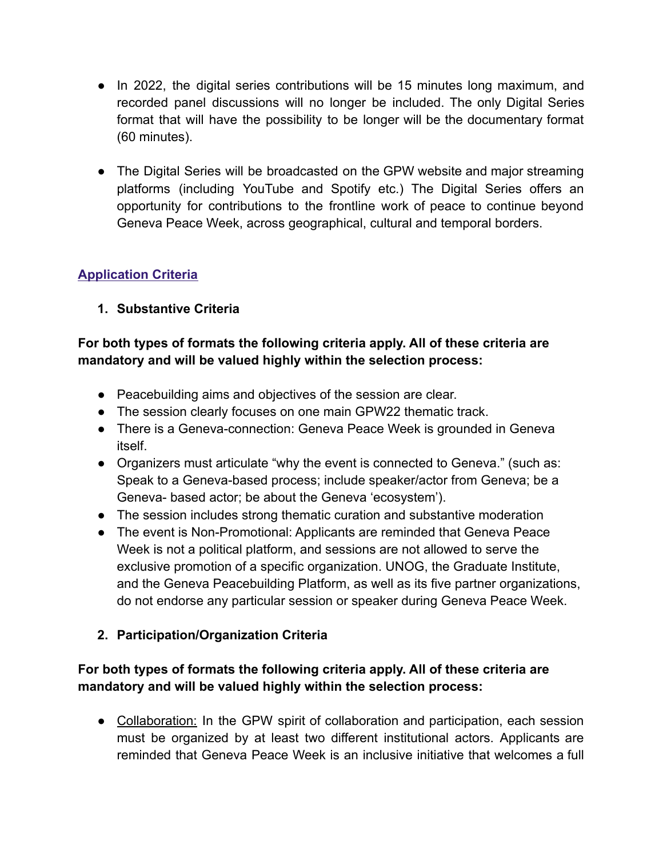- In 2022, the digital series contributions will be 15 minutes long maximum, and recorded panel discussions will no longer be included. The only Digital Series format that will have the possibility to be longer will be the documentary format (60 minutes).
- The Digital Series will be broadcasted on the GPW website and major streaming platforms (including YouTube and Spotify etc.) The Digital Series offers an opportunity for contributions to the frontline work of peace to continue beyond Geneva Peace Week, across geographical, cultural and temporal borders.

## **Application Criteria**

## **1. Substantive Criteria**

#### **For both types of formats the following criteria apply. All of these criteria are mandatory and will be valued highly within the selection process:**

- Peacebuilding aims and objectives of the session are clear.
- The session clearly focuses on one main GPW22 thematic track.
- There is a Geneva-connection: Geneva Peace Week is grounded in Geneva itself.
- Organizers must articulate "why the event is connected to Geneva." (such as: Speak to a Geneva-based process; include speaker/actor from Geneva; be a Geneva- based actor; be about the Geneva 'ecosystem').
- The session includes strong thematic curation and substantive moderation
- The event is Non-Promotional: Applicants are reminded that Geneva Peace Week is not a political platform, and sessions are not allowed to serve the exclusive promotion of a specific organization. UNOG, the Graduate Institute, and the Geneva Peacebuilding Platform, as well as its five partner organizations, do not endorse any particular session or speaker during Geneva Peace Week.

## **2. Participation/Organization Criteria**

## **For both types of formats the following criteria apply. All of these criteria are mandatory and will be valued highly within the selection process:**

• Collaboration: In the GPW spirit of collaboration and participation, each session must be organized by at least two different institutional actors. Applicants are reminded that Geneva Peace Week is an inclusive initiative that welcomes a full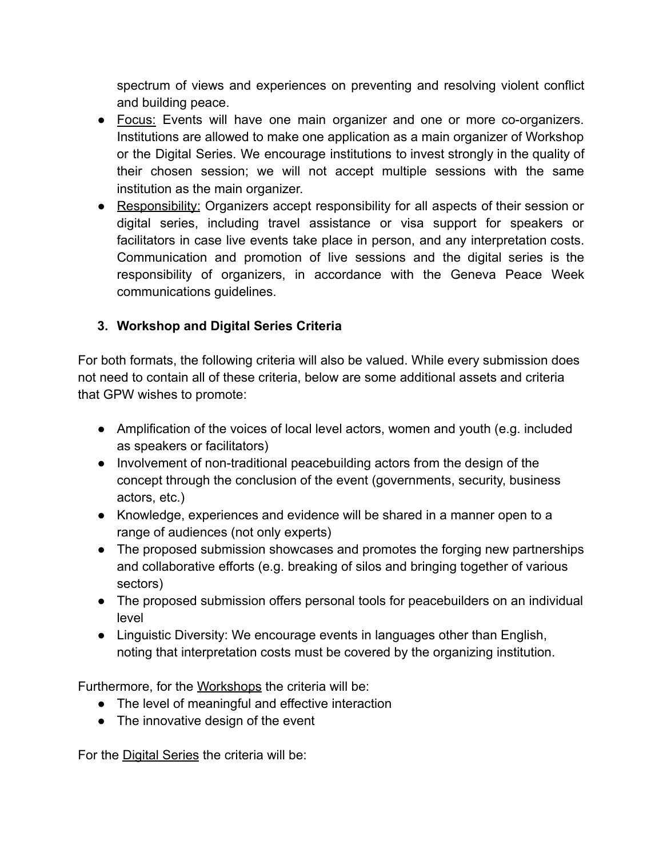spectrum of views and experiences on preventing and resolving violent conflict and building peace.

- Focus: Events will have one main organizer and one or more co-organizers. Institutions are allowed to make one application as a main organizer of Workshop or the Digital Series. We encourage institutions to invest strongly in the quality of their chosen session; we will not accept multiple sessions with the same institution as the main organizer.
- Responsibility: Organizers accept responsibility for all aspects of their session or digital series, including travel assistance or visa support for speakers or facilitators in case live events take place in person, and any interpretation costs. Communication and promotion of live sessions and the digital series is the responsibility of organizers, in accordance with the Geneva Peace Week communications guidelines.

## **3. Workshop and Digital Series Criteria**

For both formats, the following criteria will also be valued. While every submission does not need to contain all of these criteria, below are some additional assets and criteria that GPW wishes to promote:

- Amplification of the voices of local level actors, women and youth (e.g. included as speakers or facilitators)
- Involvement of non-traditional peacebuilding actors from the design of the concept through the conclusion of the event (governments, security, business actors, etc.)
- Knowledge, experiences and evidence will be shared in a manner open to a range of audiences (not only experts)
- The proposed submission showcases and promotes the forging new partnerships and collaborative efforts (e.g. breaking of silos and bringing together of various sectors)
- The proposed submission offers personal tools for peacebuilders on an individual level
- Linguistic Diversity: We encourage events in languages other than English, noting that interpretation costs must be covered by the organizing institution.

Furthermore, for the Workshops the criteria will be:

- The level of meaningful and effective interaction
- The innovative design of the event

For the Digital Series the criteria will be: